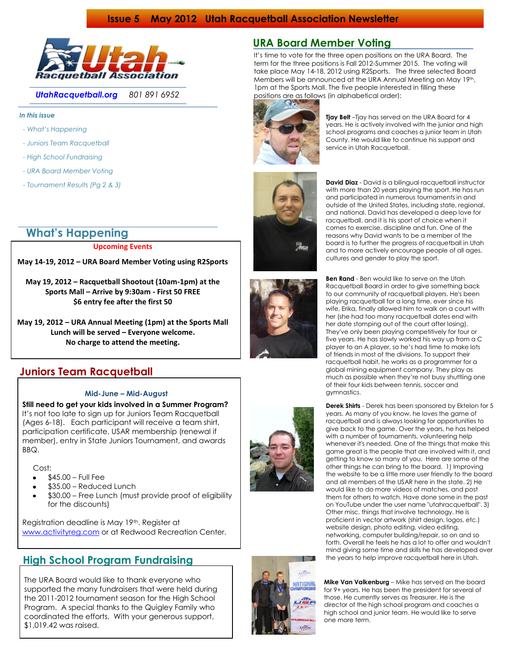### **Issue 5 May 2012 Utah Racquetball Association Newsletter**



*UtahRacquetball.org 801 891 6952*

### *In this issue*

- *- What's Happening*
- *- Juniors Team Racquetball*
- *- High School Fundraising*
- *- URA Board Member Voting*
- *- Tournament Results (Pg 2 & 3)*

# **What's Happening**

### **Upcoming Events**

### **May 14-19, 2012 – URA Board Member Voting using R2Sports**

**May 19, 2012 – Racquetball Shootout (10am-1pm) at the Sports Mall – Arrive by 9:30am - First 50 FREE \$6 entry fee after the first 50**

**May 19, 2012 – URA Annual Meeting (1pm) at the Sports Mall Lunch will be served – Everyone welcome. No charge to attend the meeting.**

### **Juniors Team Racquetball**

### **Mid-June – Mid-August**

 **Still need to get your kids involved in a Summer Program?** It's not too late to sign up for Juniors Team Racquetball (Ages 6-18). Each participant will receive a team shirt, participation certificate, USAR membership (renewal if member), entry in State Juniors Tournament, and awards BBQ.

### Cost:

- \$45.00 Full Fee
- \$35.00 Reduced Lunch
- \$30.00 Free Lunch (must provide proof of eligibility for the discounts)

Registration deadline is May 19th. Register at [www.activityreg.com](http://www.activityreg.com/) or at Redwood Recreation Center.

## **High School Program Fundraising**

 The URA Board would like to thank everyone who supported the many fundraisers that were held during the 2011-2012 tournament season for the High School Program. A special thanks to the Quigley Family who coordinated the efforts. With your generous support, \$1,019.42 was raised.

## **URA Board Member Voting**

It's time to vote for the three open positions on the URA Board. The term for the three positions is Fall 2012-Summer 2015. The voting will take place May 14-18, 2012 using R2Sports. The three selected Board Members will be announced at the URA Annual Meeting on May 19th, 1pm at the Sports Mall. The five people interested in filling these positions are as follows (in alphabetical order):



**Tjay Belt** –Tjay has served on the URA Board for 4 years. He is actively involved with the junior and high school programs and coaches a junior team in Utah County. He would like to continue his support and service in Utah Racquetball.



**David Diaz** - David is a bilingual racquetball instructor with more than 20 years playing the sport. He has run and participated in numerous tournaments in and outside of the United States, including state, regional, and national. David has developed a deep love for racquetball, and it is his sport of choice when it comes to exercise, discipline and fun. One of the reasons why David wants to be a member of the board is to further the progress of racquetball in Utah and to more actively encourage people of all ages, cultures and gender to play the sport.

**Ben Rand** - Ben would like to serve on the Utah Racquetball Board in order to give something back to our community of racquetball players. He's been playing racquetball for a long time, ever since his wife, Erika, finally allowed him to walk on a court with her (she had too many racquetball dates end with her date stomping out of the court after losing). They've only been playing competitively for four or five years. He has slowly worked his way up from a C player to an A player, so he's had time to make lots of friends in most of the divisions. To support their racquetball habit, he works as a programmer for a global mining equipment company. They play as much as possible when they're not busy shuttling one of their four kids between tennis, soccer and gymnastics.

**Derek Shirts** - Derek has been sponsored by Ektelon for 5 years. As many of you know, he loves the game of racquetball and is always looking for opportunities to give back to the game. Over the years, he has helped with a number of tournaments, volunteering help whenever it's needed. One of the things that make this game great is the people that are involved with it, and getting to know so many of you. Here are some of the other things he can bring to the board. 1) Improving the website to be a little more user friendly to the board and all members of the USAR here in the state. 2) He would like to do more videos of matches, and post them for others to watch. Have done some in the past on YouTube under the user name "utahracquetball". 3) Other misc. things that involve technology. He is proficient in vector artwork (shirt design, logos, etc.) website design, photo editing, video editing, networking, computer building/repair, so on and so forth. Overall he feels he has a lot to offer and wouldn't mind giving some time and skills he has developed over the years to help improve racquetball here in Utah.

**Mike Van Valkenburg** – Mike has served on the board for 9+ years. He has been the president for several of those. He currently serves as Treasurer. He is the director of the high school program and coaches a high school and junior team. He would like to serve one more term.



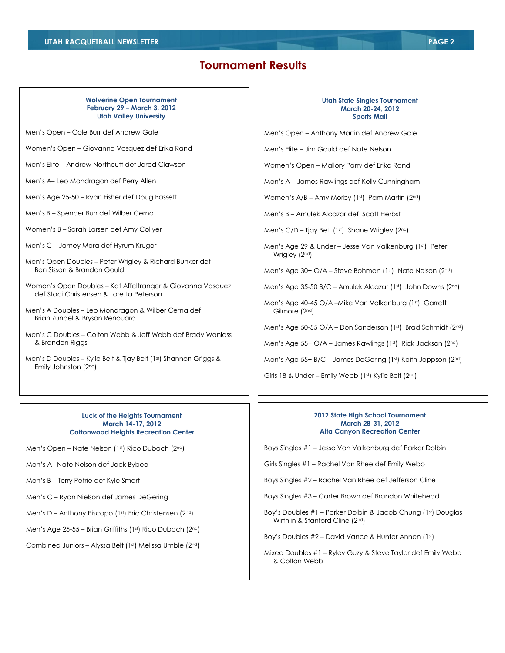## **Tournament Results**

### **Wolverine Open Tournament February 29 – March 3, 2012 Utah Valley University**

Men's Open – Cole Burr def Andrew Gale

Women's Open – Giovanna Vasquez def Erika Rand

Men's Elite – Andrew Northcutt def Jared Clawson

Men's A– Leo Mondragon def Perry Allen

Men's Age 25-50 – Ryan Fisher def Doug Bassett

Men's B – Spencer Burr def Wilber Cerna

Women's B – Sarah Larsen def Amy Collyer

Men's C – Jamey Mora def Hyrum Kruger

Men's Open Doubles – Peter Wrigley & Richard Bunker def Ben Sisson & Brandon Gould

Women's Open Doubles – Kat Affeltranger & Giovanna Vasquez def Staci Christensen & Loretta Peterson

Men's A Doubles – Leo Mondragon & Wilber Cerna def Brian Zundel & Bryson Renouard

Men's C Doubles – Colton Webb & Jeff Webb def Brady Wanlass & Brandon Riggs

Men's D Doubles – Kylie Belt & Tjay Belt (1st) Shannon Griggs & Emily Johnston (2nd)

### **Luck of the Heights Tournament March 14-17, 2012 Cottonwood Heights Recreation Center**

Men's Open – Nate Nelson (1st) Rico Dubach (2nd)

Men's A– Nate Nelson def Jack Bybee

Men's B – Terry Petrie def Kyle Smart

Men's C – Ryan Nielson def James DeGering

Men's D – Anthony Piscopo (1st) Eric Christensen (2nd)

Men's Age 25-55 – Brian Griffiths (1st) Rico Dubach (2nd)

Combined Juniors – Alyssa Belt (1st) Melissa Umble (2nd)

#### **Utah State Singles Tournament March 20-24, 2012 Sports Mall**

Men's Open – Anthony Martin def Andrew Gale

Men's Elite – Jim Gould def Nate Nelson

Women's Open – Mallory Parry def Erika Rand

Men's A – James Rawlings def Kelly Cunningham

Women's  $A/B - Amy Mory (1st)$  Pam Martin  $(2nd)$ 

Men's B – Amulek Alcazar def Scott Herbst

Men's C/D – Tjay Belt (1st) Shane Wrigley (2nd)

Men's Age 29 & Under – Jesse Van Valkenburg (1st) Peter Wrigley (2<sup>nd</sup>)

Men's Age 30+ O/A - Steve Bohman (1st) Nate Nelson (2nd)

Men's Age 35-50 B/C – Amulek Alcazar (1st) John Downs (2nd)

Men's Age 40-45 O/A – Mike Van Valkenburg (1st) Garrett Gilmore (2nd)

Men's Age 50-55 O/A – Don Sanderson (1st) Brad Schmidt (2nd)

Men's Age 55+ O/A – James Rawlings ( $1<sup>st</sup>$ ) Rick Jackson ( $2<sup>nd</sup>$ )

Men's Age 55+ B/C – James DeGering (1st) Keith Jeppson (2nd)

Girls 18 & Under – Emily Webb (1st) Kylie Belt (2nd)

### **2012 State High School Tournament March 28-31, 2012 Alta Canyon Recreation Center**

Boys Singles #1 – Jesse Van Valkenburg def Parker Dolbin

Girls Singles #1 – Rachel Van Rhee def Emily Webb

Boys Singles #2 – Rachel Van Rhee def Jefferson Cline

Boys Singles #3 – Carter Brown def Brandon Whitehead

Boy's Doubles #1 - Parker Dolbin & Jacob Chung (1st) Douglas Wirthlin & Stanford Cline (2nd)

Boy's Doubles #2 – David Vance & Hunter Annen (1st)

Mixed Doubles #1 – Ryley Guzy & Steve Taylor def Emily Webb & Colton Webb